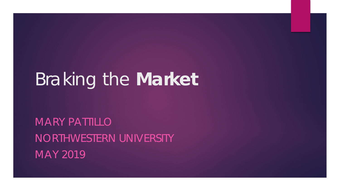# Braking the *Market*

MARY PATTILLO NORTHWESTERN UNIVERSITY MAY 2019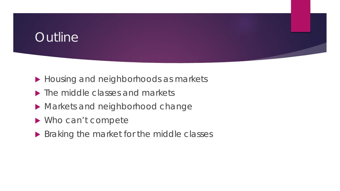## **Outline**

- Housing and neighborhoods as markets
- The middle classes and markets
- Markets and neighborhood change
- ▶ Who can't compete
- Braking the market for the middle classes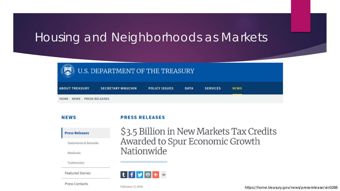## Housing and Neighborhoods as Markets

| $\left(\bigotimes\right)$ U.S. DEPARTMENT OF THE TREASURY |                          |                      |             |                 |             |  |  |  |
|-----------------------------------------------------------|--------------------------|----------------------|-------------|-----------------|-------------|--|--|--|
| <b>ABOUT TREASURY</b>                                     | <b>SECRETARY MNUCHIN</b> | <b>POLICY ISSUES</b> | <b>DATA</b> | <b>SERVICES</b> | <b>NEWS</b> |  |  |  |
| HOME > NEWS > PRESS RELEASES                              |                          |                      |             |                 |             |  |  |  |

#### **NEWS**

#### **PRESS RELEASES**

| <b>Press Releases</b> |
|-----------------------|
|                       |

**Statements & Remarks** 

Readouts

**Testimonies** 

**Featured Stories** 

**Press Contacts** 





February 13, 2018

<https://home.treasury.gov/news/press-release/sm0288>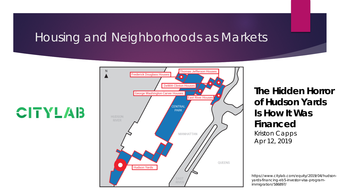## Housing and Neighborhoods as Markets

**CITYLAB** 



**The Hidden Horror of Hudson Yards Is How It Was Financed** Kriston Capps Apr 12, 2019

[https://www.citylab.com/equity/2019/04/hudson](https://www.citylab.com/equity/2019/04/hudson-yards-financing-eb5-investor-visa-program-immigration/586897/)yards-financing-eb5-investor-visa-programimmigration/586897/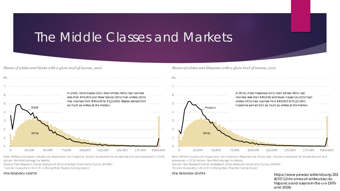## The Middle Classes and Markets

*Shares of whites and blacks with a given level of income, 2016* 



Note: Whites and blacks include only single-race non-Hispanics. Income is adjusted for household size and expressed in 2016 dollars. See **Methodology** for **details.** 

Source: Pew Research Center analysis of 2016 American Community Survey (IPUMS).

"Income Inequality in the U.S. Is Rising Most Rapidly Among Asians"

#### PEW RESEARCH CENTER

*Shares of whites and Hispanics with a given level of income, 2016* 



Note: Whites include only single-race non-Hispanics. Hispanics are of any race. Income is adjusted for household size and expressed in 2016 dollars. See Methodology for details.

Source: Pew Research Center analysis of 2016 American Community Survey (IPUMS). "Income Inequality in the U.S. Is Rising Most Rapidly Among Asians"

#### PEW RESEARCH CENTER

[https://www.pewsocialtrends.org/201](https://www.pewsocialtrends.org/2018/07/12/incomes-of-whites-blacks-hispanics-and-asians-in-the-u-s-1970-and-2016/) 8/07/12/incomes-of-whites-blackshispanics-and-asians-in-the-u-s-1970 and-2016/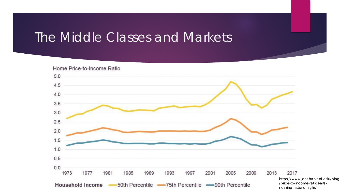## The Middle Classes and Markets



[https://www.jchs.harvard.edu/blog](https://www.jchs.harvard.edu/blog/price-to-income-ratios-are-nearing-historic-highs/) /price-to-income-ratios-arenearing-historic-highs/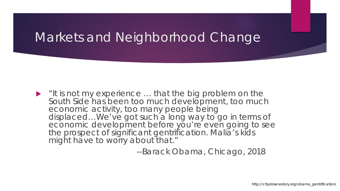$\blacktriangleright$  "It is not my experience  $\ldots$  that the big problem on the South Side has been too much development, too much economic activity, too many people being displaced…We've got such a long way to go in terms of economic development before you're even going to see the prospect of significant gentrification. Malia's kids might have to worry about that."

--Barack Obama, Chicago, 2018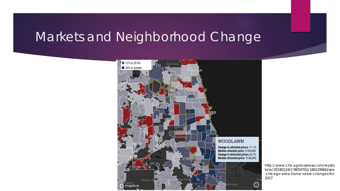

http://www.chicagobusiness.com/reales tate/20180124/CRED0701/180129960/see [-chicago-area-home-value-changes-for-](http://www.chicagobusiness.com/realestate/20180124/CRED0701/180129960/see-chicago-area-home-value-changes-for-2017)2017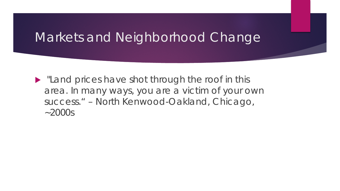**If** "Land prices have shot through the roof in this area. In many ways, you are a victim of your own success." – North Kenwood-Oakland, Chicago,  $-2000s$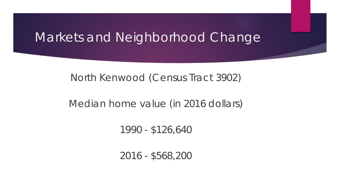### North Kenwood (Census Tract 3902)

### Median home value (in 2016 dollars)

1990 - \$126,640

2016 - \$568,200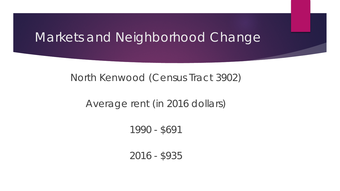### North Kenwood (Census Tract 3902)

### Average rent (in 2016 dollars)

### 1990 - \$691

#### 2016 - \$935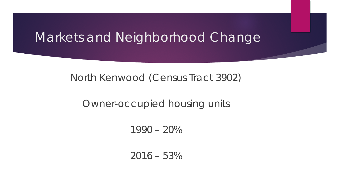### North Kenwood (Census Tract 3902)

### Owner-occupied housing units

1990 – 20%

 $2016 - 53\%$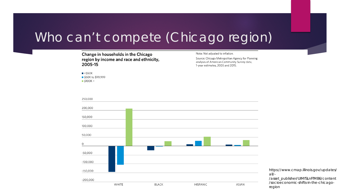## Who can't compete (Chicago region)

#### **Change in households in the Chicago region by income and race and ethnicity, 2005-15**

 $\blacktriangleright$  <\$50K

■ \$50K to \$99,999  $$100K +$ 

Note: Not adjusted to inflation.

Source: Chicago Metropolitan Agency for Planning analysis of American Community Survey data, 1-year estimates, 2005 and 2015.



[https://www.cmap.illinois.gov/updates/](https://www.cmap.illinois.gov/updates/all/-/asset_publisher/UIMfSLnFfMB6/content/socioeconomic-shifts-in-the-chicago-region) all/-

/asset\_publisher/UIMfSLnFfMB6/content /socioeconomic-shifts-in-the-chicagoregion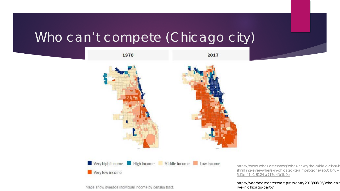## Who can't compete (Chicago city)



Maps show average individual income by census tract.

[https://www.wbez.org/shows/wbez-news/the-middle-class-is](https://www.wbez.org/shows/wbez-news/the-middle-class-is-shrinking-everywhere-in-chicago-its-almost-gone/e63cb407-5d1e-41b1-9124-a717d4fb1b0b) shrinking-everywhere-in-chicago-its-almost-gone/e63cb407- 5d1e-41b1-9124-a717d4fb1b0b

[https://voorheescenter.wordpress.com/2018/06/06/who-can](https://voorheescenter.wordpress.com/2018/06/06/who-can-live-in-chicago-part-i/) live-in-chicago-part-i/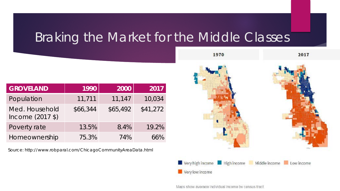## Braking the Market for the Middle Classes

| <b>GROVELAND</b>                   | 1990     | 2000     | 2017     |
|------------------------------------|----------|----------|----------|
| Population                         | 11,711   | 11,147   | 10,034   |
| Med. Household<br>Income (2017 \$) | \$66,344 | \$65,492 | \$41,272 |
| Poverty rate                       | 13.5%    | 8.4%     | 19.2%    |
| Homeownership                      | 75.3%    | 74%      | 66%      |

Source: <http://www.robparal.com/ChicagoCommunityAreaData.html>



Maps show average individual income by census tract.